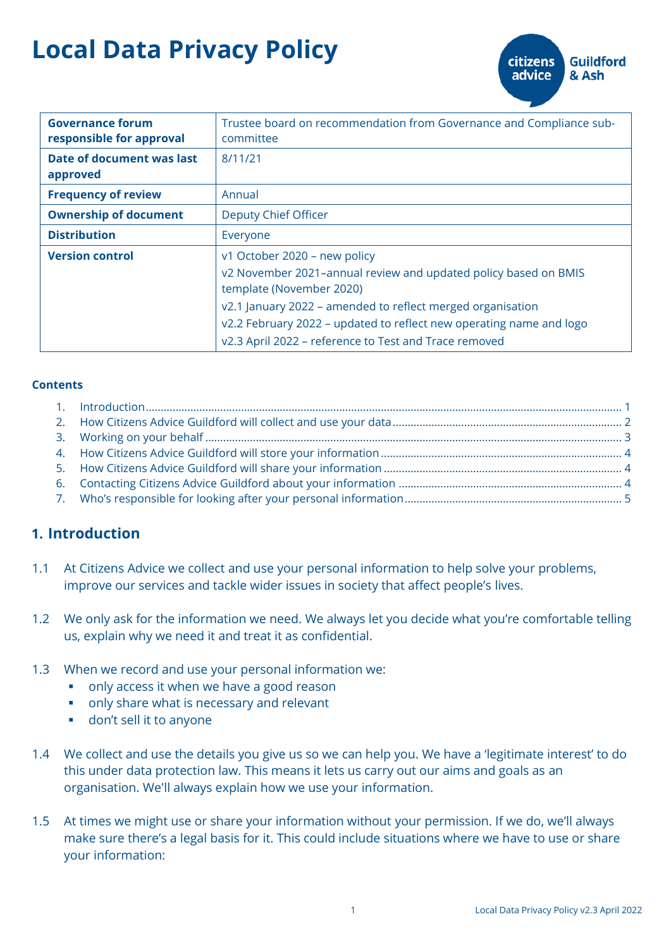# **Local Data Privacy Policy**

| <b>Governance forum</b><br>responsible for approval | Trustee board on recommendation from Governance and Compliance sub-<br>committee            |
|-----------------------------------------------------|---------------------------------------------------------------------------------------------|
| Date of document was last<br>approved               | 8/11/21                                                                                     |
| <b>Frequency of review</b>                          | Annual                                                                                      |
| <b>Ownership of document</b>                        | Deputy Chief Officer                                                                        |
| <b>Distribution</b>                                 | Everyone                                                                                    |
| <b>Version control</b>                              | v1 October 2020 - new policy                                                                |
|                                                     | v2 November 2021-annual review and updated policy based on BMIS<br>template (November 2020) |
|                                                     | v2.1 January 2022 – amended to reflect merged organisation                                  |
|                                                     | v2.2 February 2022 – updated to reflect new operating name and logo                         |
|                                                     | v2.3 April 2022 - reference to Test and Trace removed                                       |

#### **Contents**

# <span id="page-0-0"></span>**1. Introduction**

- 1.1 At Citizens Advice we collect and use your personal information to help solve your problems, improve our services and tackle wider issues in society that affect people's lives.
- 1.2 We only ask for the information we need. We always let you decide what you're comfortable telling us, explain why we need it and treat it as confidential.
- 1.3 When we record and use your personal information we:
	- only access it when we have a good reason
	- only share what is necessary and relevant
	- don't sell it to anyone
- 1.4 We collect and use the details you give us so we can help you. We have a 'legitimate interest' to do this under data protection law. This means it lets us carry out our aims and goals as an organisation. We'll always explain how we use your information.
- 1.5 At times we might use or share your information without your permission. If we do, we'll always make sure there's a legal basis for it. This could include situations where we have to use or share your information:

**citizens** 

advice

**Guildford** 

& Ash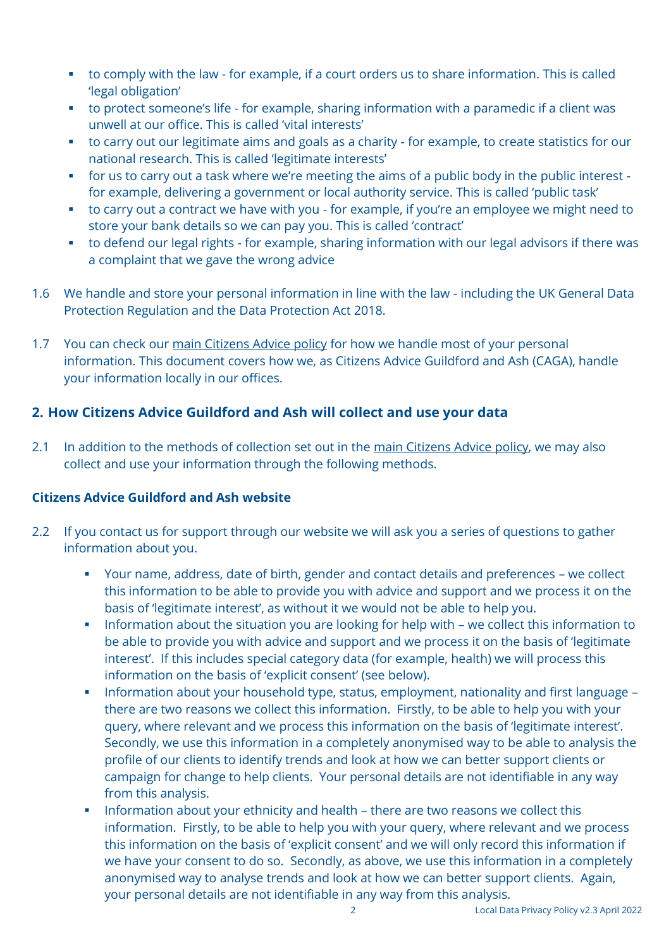- to comply with the law for example, if a court orders us to share information. This is called 'legal obligation'
- to protect someone's life for example, sharing information with a paramedic if a client was unwell at our office. This is called 'vital interests'
- to carry out our legitimate aims and goals as a charity for example, to create statistics for our national research. This is called 'legitimate interests'
- for us to carry out a task where we're meeting the aims of a public body in the public interest for example, delivering a government or local authority service. This is called 'public task'
- to carry out a contract we have with you for example, if you're an employee we might need to store your bank details so we can pay you. This is called 'contract'
- to defend our legal rights for example, sharing information with our legal advisors if there was a complaint that we gave the wrong advice
- 1.6 We handle and store your personal information in line with the law including the UK General Data Protection Regulation and the Data Protection Act 2018.
- 1.7 You can check our [main Citizens Advice policy](https://www.citizensadvice.org.uk/about-us/about-us1/citizens-advice-privacy-policy/your-information/) for how we handle most of your personal information. This document covers how we, as Citizens Advice Guildford and Ash (CAGA), handle your information locally in our offices.

# <span id="page-1-0"></span>**2. How Citizens Advice Guildford and Ash will collect and use your data**

2.1 In addition to the methods of collection set out in the [main Citizens Advice policy,](https://www.citizensadvice.org.uk/about-us/about-us1/citizens-advice-privacy-policy/your-information/) we may also collect and use your information through the following methods.

#### **Citizens Advice Guildford and Ash website**

- 2.2 If you contact us for support through our website we will ask you a series of questions to gather information about you.
	- Your name, address, date of birth, gender and contact details and preferences we collect this information to be able to provide you with advice and support and we process it on the basis of 'legitimate interest', as without it we would not be able to help you.
	- **•** Information about the situation you are looking for help with we collect this information to be able to provide you with advice and support and we process it on the basis of 'legitimate interest'. If this includes special category data (for example, health) we will process this information on the basis of 'explicit consent' (see below).
	- Information about your household type, status, employment, nationality and first language there are two reasons we collect this information. Firstly, to be able to help you with your query, where relevant and we process this information on the basis of 'legitimate interest'. Secondly, we use this information in a completely anonymised way to be able to analysis the profile of our clients to identify trends and look at how we can better support clients or campaign for change to help clients. Your personal details are not identifiable in any way from this analysis.
	- **.** Information about your ethnicity and health there are two reasons we collect this information. Firstly, to be able to help you with your query, where relevant and we process this information on the basis of 'explicit consent' and we will only record this information if we have your consent to do so. Secondly, as above, we use this information in a completely anonymised way to analyse trends and look at how we can better support clients. Again, your personal details are not identifiable in any way from this analysis.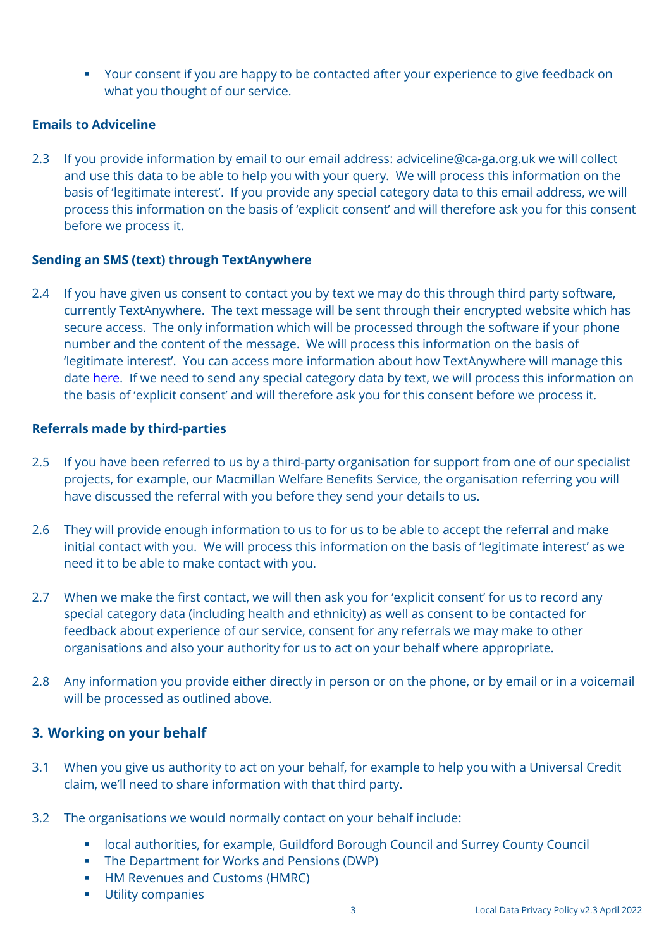■ Your consent if you are happy to be contacted after your experience to give feedback on what you thought of our service.

#### **Emails to Adviceline**

2.3 If you provide information by email to our email address: adviceline@ca-ga.org.uk we will collect and use this data to be able to help you with your query. We will process this information on the basis of 'legitimate interest'. If you provide any special category data to this email address, we will process this information on the basis of 'explicit consent' and will therefore ask you for this consent before we process it.

#### **Sending an SMS (text) through TextAnywhere**

2.4 If you have given us consent to contact you by text we may do this through third party software, currently TextAnywhere. The text message will be sent through their encrypted website which has secure access. The only information which will be processed through the software if your phone number and the content of the message. We will process this information on the basis of 'legitimate interest'. You can access more information about how TextAnywhere will manage this date [here.](https://www.textanywhere.com/policy-documents/privacy-policy/) If we need to send any special category data by text, we will process this information on the basis of 'explicit consent' and will therefore ask you for this consent before we process it.

#### **Referrals made by third-parties**

- 2.5 If you have been referred to us by a third-party organisation for support from one of our specialist projects, for example, our Macmillan Welfare Benefits Service, the organisation referring you will have discussed the referral with you before they send your details to us.
- 2.6 They will provide enough information to us to for us to be able to accept the referral and make initial contact with you. We will process this information on the basis of 'legitimate interest' as we need it to be able to make contact with you.
- 2.7 When we make the first contact, we will then ask you for 'explicit consent' for us to record any special category data (including health and ethnicity) as well as consent to be contacted for feedback about experience of our service, consent for any referrals we may make to other organisations and also your authority for us to act on your behalf where appropriate.
- 2.8 Any information you provide either directly in person or on the phone, or by email or in a voicemail will be processed as outlined above.

## <span id="page-2-0"></span>**3. Working on your behalf**

- 3.1 When you give us authority to act on your behalf, for example to help you with a Universal Credit claim, we'll need to share information with that third party.
- 3.2 The organisations we would normally contact on your behalf include:
	- local authorities, for example, Guildford Borough Council and Surrey County Council
	- The Department for Works and Pensions (DWP)
	- **HM Revenues and Customs (HMRC)**
	- Utility companies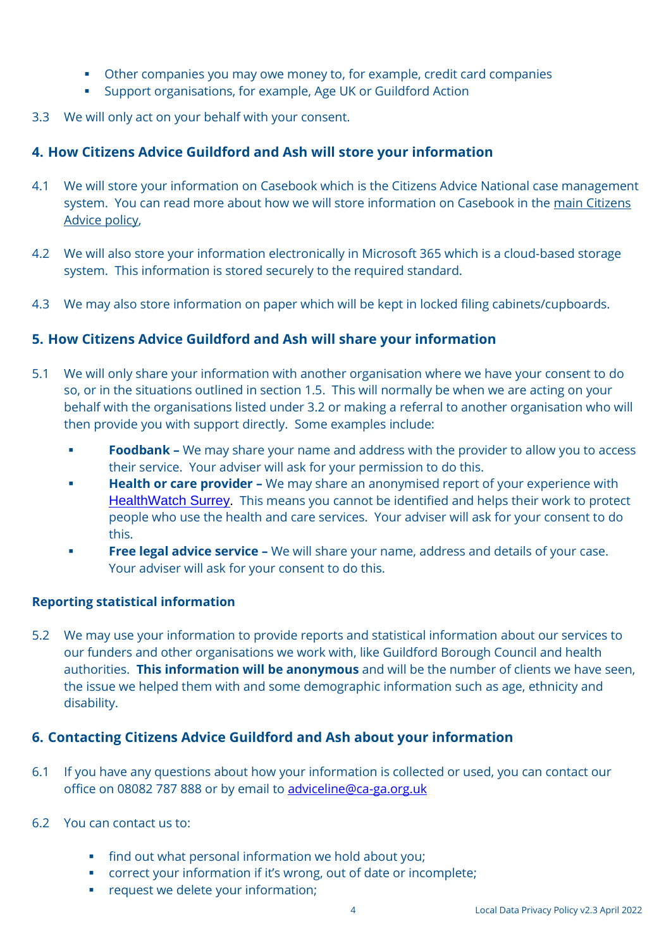- Other companies you may owe money to, for example, credit card companies
- Support organisations, for example, Age UK or Guildford Action
- 3.3 We will only act on your behalf with your consent.

## <span id="page-3-0"></span>**4. How Citizens Advice Guildford and Ash will store your information**

- 4.1 We will store your information on Casebook which is the Citizens Advice National case management system. You can read more about how we will store information on Casebook in the [main Citizens](https://www.citizensadvice.org.uk/about-us/about-us1/citizens-advice-privacy-policy/your-information/)  [Advice policy,](https://www.citizensadvice.org.uk/about-us/about-us1/citizens-advice-privacy-policy/your-information/)
- 4.2 We will also store your information electronically in Microsoft 365 which is a cloud-based storage system. This information is stored securely to the required standard.
- 4.3 We may also store information on paper which will be kept in locked filing cabinets/cupboards.

#### <span id="page-3-1"></span>**5. How Citizens Advice Guildford and Ash will share your information**

- 5.1 We will only share your information with another organisation where we have your consent to do so, or in the situations outlined in section 1.5. This will normally be when we are acting on your behalf with the organisations listed under 3.2 or making a referral to another organisation who will then provide you with support directly. Some examples include:
	- **Foodbank -** We may share your name and address with the provider to allow you to access their service. Your adviser will ask for your permission to do this.
	- **Health or care provider -** We may share an anonymised report of your experience with [HealthWatch Surrey](https://www.healthwatchsurrey.co.uk/). This means you cannot be identified and helps their work to protect people who use the health and care services. Your adviser will ask for your consent to do this.
	- **Free legal advice service -** We will share your name, address and details of your case. Your adviser will ask for your consent to do this.

#### **Reporting statistical information**

5.2 We may use your information to provide reports and statistical information about our services to our funders and other organisations we work with, like Guildford Borough Council and health authorities. **This information will be anonymous** and will be the number of clients we have seen, the issue we helped them with and some demographic information such as age, ethnicity and disability.

## <span id="page-3-2"></span>**6. Contacting Citizens Advice Guildford and Ash about your information**

6.1 If you have any questions about how your information is collected or used, you can contact our office on 08082 787 888 or by email to adviceline@ca-ga.org.uk

#### 6.2 You can contact us to:

- find out what personal information we hold about you;
- correct your information if it's wrong, out of date or incomplete;
- **•** request we delete your information;